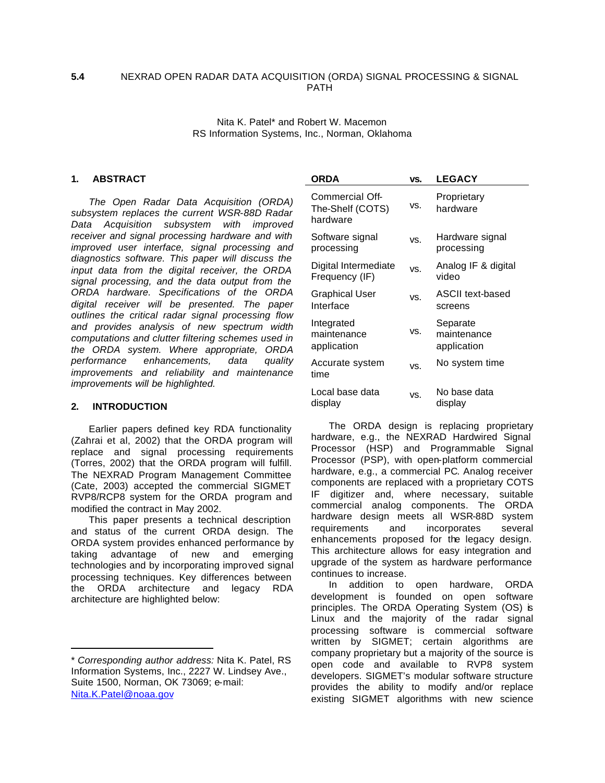### **5.4** NEXRAD OPEN RADAR DATA ACQUISITION (ORDA) SIGNAL PROCESSING & SIGNAL PATH

Nita K. Patel\* and Robert W. Macemon RS Information Systems, Inc., Norman, Oklahoma

### **1. ABSTRACT**

*The Open Radar Data Acquisition (ORDA) subsystem replaces the current WSR-88D Radar Data Acquisition subsystem with improved receiver and signal processing hardware and with improved user interface, signal processing and diagnostics software. This paper will discuss the input data from the digital receiver, the ORDA signal processing, and the data output from the ORDA hardware. Specifications of the ORDA digital receiver will be presented. The paper outlines the critical radar signal processing flow and provides analysis of new spectrum width computations and clutter filtering schemes used in the ORDA system. Where appropriate, ORDA performance enhancements, data quality improvements and reliability and maintenance improvements will be highlighted.*

#### **2. INTRODUCTION**

 $\overline{a}$ 

Earlier papers defined key RDA functionality (Zahrai et al, 2002) that the ORDA program will replace and signal processing requirements (Torres, 2002) that the ORDA program will fulfill. The NEXRAD Program Management Committee (Cate, 2003) accepted the commercial SIGMET RVP8/RCP8 system for the ORDA program and modified the contract in May 2002.

This paper presents a technical description and status of the current ORDA design. The ORDA system provides enhanced performance by taking advantage of new and emerging technologies and by incorporating improved signal processing techniques. Key differences between the ORDA architecture and legacy RDA architecture are highlighted below:

| ORDA                                            | VS. | <b>LEGACY</b>                          |
|-------------------------------------------------|-----|----------------------------------------|
| Commercial Off-<br>The-Shelf (COTS)<br>hardware | VS. | Proprietary<br>hardware                |
| Software signal<br>processing                   | VS. | Hardware signal<br>processing          |
| Digital Intermediate<br>Frequency (IF)          | VS. | Analog IF & digital<br>video           |
| Graphical User<br>Interface                     | VS. | ASCII text-based<br>screens            |
| Integrated<br>maintenance<br>application        | VS. | Separate<br>maintenance<br>application |
| Accurate system<br>time                         | VS. | No system time                         |
| Local base data<br>display                      | VS. | No base data<br>display                |

The ORDA design is replacing proprietary hardware, e.g., the NEXRAD Hardwired Signal Processor (HSP) and Programmable Signal Processor (PSP), with open-platform commercial hardware, e.g., a commercial PC. Analog receiver components are replaced with a proprietary COTS IF digitizer and, where necessary, suitable commercial analog components. The ORDA hardware design meets all WSR-88D system requirements and incorporates several enhancements proposed for the legacy design. This architecture allows for easy integration and upgrade of the system as hardware performance continues to increase.

In addition to open hardware, ORDA development is founded on open software principles. The ORDA Operating System (OS) is Linux and the majority of the radar signal processing software is commercial software written by SIGMET; certain algorithms are company proprietary but a majority of the source is open code and available to RVP8 system developers. SIGMET's modular software structure provides the ability to modify and/or replace existing SIGMET algorithms with new science

<sup>\*</sup> *Corresponding author address:* Nita K. Patel, RS Information Systems, Inc., 2227 W. Lindsey Ave., Suite 1500, Norman, OK 73069; e-mail: Nita.K.Patel@noaa.gov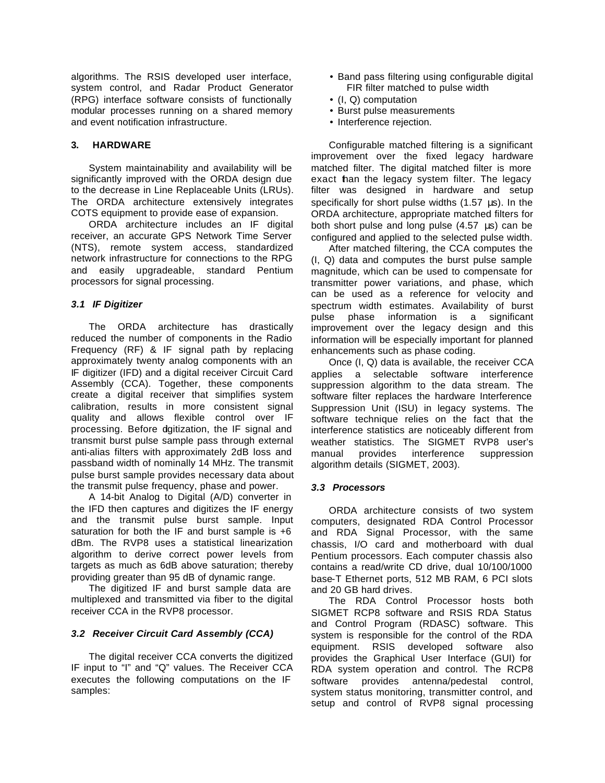algorithms. The RSIS developed user interface, system control, and Radar Product Generator (RPG) interface software consists of functionally modular processes running on a shared memory and event notification infrastructure.

# **3. HARDWARE**

System maintainability and availability will be significantly improved with the ORDA design due to the decrease in Line Replaceable Units (LRUs). The ORDA architecture extensively integrates COTS equipment to provide ease of expansion.

ORDA architecture includes an IF digital receiver, an accurate GPS Network Time Server (NTS), remote system access, standardized network infrastructure for connections to the RPG and easily upgradeable, standard Pentium processors for signal processing.

# *3.1 IF Digitizer*

The ORDA architecture has drastically reduced the number of components in the Radio Frequency (RF) & IF signal path by replacing approximately twenty analog components with an IF digitizer (IFD) and a digital receiver Circuit Card Assembly (CCA). Together, these components create a digital receiver that simplifies system calibration, results in more consistent signal quality and allows flexible control over IF processing. Before dgitization, the IF signal and transmit burst pulse sample pass through external anti-alias filters with approximately 2dB loss and passband width of nominally 14 MHz. The transmit pulse burst sample provides necessary data about the transmit pulse frequency, phase and power.

A 14-bit Analog to Digital (A/D) converter in the IFD then captures and digitizes the IF energy and the transmit pulse burst sample. Input saturation for both the IF and burst sample is  $+6$ dBm. The RVP8 uses a statistical linearization algorithm to derive correct power levels from targets as much as 6dB above saturation; thereby providing greater than 95 dB of dynamic range.

The digitized IF and burst sample data are multiplexed and transmitted via fiber to the digital receiver CCA in the RVP8 processor.

# *3.2 Receiver Circuit Card Assembly (CCA)*

The digital receiver CCA converts the digitized IF input to "I" and "Q" values. The Receiver CCA executes the following computations on the IF samples:

- Band pass filtering using configurable digital FIR filter matched to pulse width
- (I, Q) computation
- Burst pulse measurements
- Interference rejection.

Configurable matched filtering is a significant improvement over the fixed legacy hardware matched filter. The digital matched filter is more exact than the legacy system filter. The legacy filter was designed in hardware and setup specifically for short pulse widths (1.57 μs). In the ORDA architecture, appropriate matched filters for both short pulse and long pulse (4.57 μs) can be configured and applied to the selected pulse width.

After matched filtering, the CCA computes the (I, Q) data and computes the burst pulse sample magnitude, which can be used to compensate for transmitter power variations, and phase, which can be used as a reference for velocity and spectrum width estimates. Availability of burst pulse phase information is a significant improvement over the legacy design and this information will be especially important for planned enhancements such as phase coding.

Once (I, Q) data is available, the receiver CCA applies a selectable software interference suppression algorithm to the data stream. The software filter replaces the hardware Interference Suppression Unit (ISU) in legacy systems. The software technique relies on the fact that the interference statistics are noticeably different from weather statistics. The SIGMET RVP8 user's manual provides interference suppression algorithm details (SIGMET, 2003).

# *3.3 Processors*

ORDA architecture consists of two system computers, designated RDA Control Processor and RDA Signal Processor, with the same chassis, I/O card and motherboard with dual Pentium processors. Each computer chassis also contains a read/write CD drive, dual 10/100/1000 base-T Ethernet ports, 512 MB RAM, 6 PCI slots and 20 GB hard drives.

The RDA Control Processor hosts both SIGMET RCP8 software and RSIS RDA Status and Control Program (RDASC) software. This system is responsible for the control of the RDA equipment. RSIS developed software also provides the Graphical User Interface (GUI) for RDA system operation and control. The RCP8 software provides antenna/pedestal control, system status monitoring, transmitter control, and setup and control of RVP8 signal processing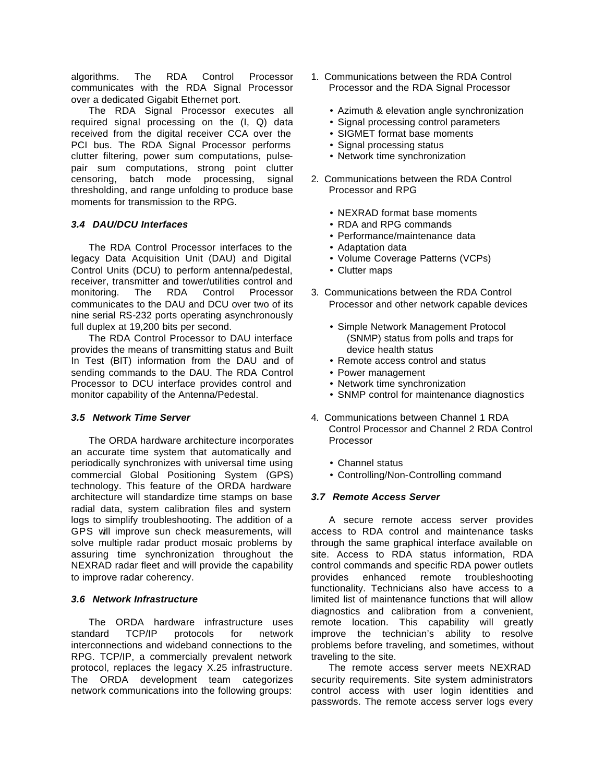algorithms. The RDA Control Processor communicates with the RDA Signal Processor over a dedicated Gigabit Ethernet port.

The RDA Signal Processor executes all required signal processing on the (I, Q) data received from the digital receiver CCA over the PCI bus. The RDA Signal Processor performs clutter filtering, power sum computations, pulsepair sum computations, strong point clutter censoring, batch mode processing, signal thresholding, and range unfolding to produce base moments for transmission to the RPG.

# *3.4 DAU/DCU Interfaces*

The RDA Control Processor interfaces to the legacy Data Acquisition Unit (DAU) and Digital Control Units (DCU) to perform antenna/pedestal, receiver, transmitter and tower/utilities control and monitoring. The RDA Control Processor communicates to the DAU and DCU over two of its nine serial RS-232 ports operating asynchronously full duplex at 19,200 bits per second.

The RDA Control Processor to DAU interface provides the means of transmitting status and Built In Test (BIT) information from the DAU and of sending commands to the DAU. The RDA Control Processor to DCU interface provides control and monitor capability of the Antenna/Pedestal.

### *3.5 Network Time Server*

The ORDA hardware architecture incorporates an accurate time system that automatically and periodically synchronizes with universal time using commercial Global Positioning System (GPS) technology. This feature of the ORDA hardware architecture will standardize time stamps on base radial data, system calibration files and system logs to simplify troubleshooting. The addition of a GPS will improve sun check measurements, will solve multiple radar product mosaic problems by assuring time synchronization throughout the NEXRAD radar fleet and will provide the capability to improve radar coherency.

### *3.6 Network Infrastructure*

The ORDA hardware infrastructure uses standard TCP/IP protocols for network interconnections and wideband connections to the RPG. TCP/IP, a commercially prevalent network protocol, replaces the legacy X.25 infrastructure. The ORDA development team categorizes network communications into the following groups:

- 1. Communications between the RDA Control Processor and the RDA Signal Processor
	- Azimuth & elevation angle synchronization
	- Signal processing control parameters
	- SIGMET format base moments
	- Signal processing status
	- Network time synchronization
- 2. Communications between the RDA Control Processor and RPG
	- NEXRAD format base moments
	- RDA and RPG commands
	- Performance/maintenance data
	- Adaptation data
	- Volume Coverage Patterns (VCPs)
	- Clutter maps
- 3. Communications between the RDA Control Processor and other network capable devices
	- Simple Network Management Protocol (SNMP) status from polls and traps for device health status
	- Remote access control and status
	- Power management
	- Network time synchronization
	- SNMP control for maintenance diagnostics
- 4. Communications between Channel 1 RDA Control Processor and Channel 2 RDA Control Processor
	- Channel status
	- Controlling/Non-Controlling command

### *3.7 Remote Access Server*

A secure remote access server provides access to RDA control and maintenance tasks through the same graphical interface available on site. Access to RDA status information, RDA control commands and specific RDA power outlets provides enhanced remote troubleshooting functionality. Technicians also have access to a limited list of maintenance functions that will allow diagnostics and calibration from a convenient, remote location. This capability will greatly improve the technician's ability to resolve problems before traveling, and sometimes, without traveling to the site.

The remote access server meets NEXRAD security requirements. Site system administrators control access with user login identities and passwords. The remote access server logs every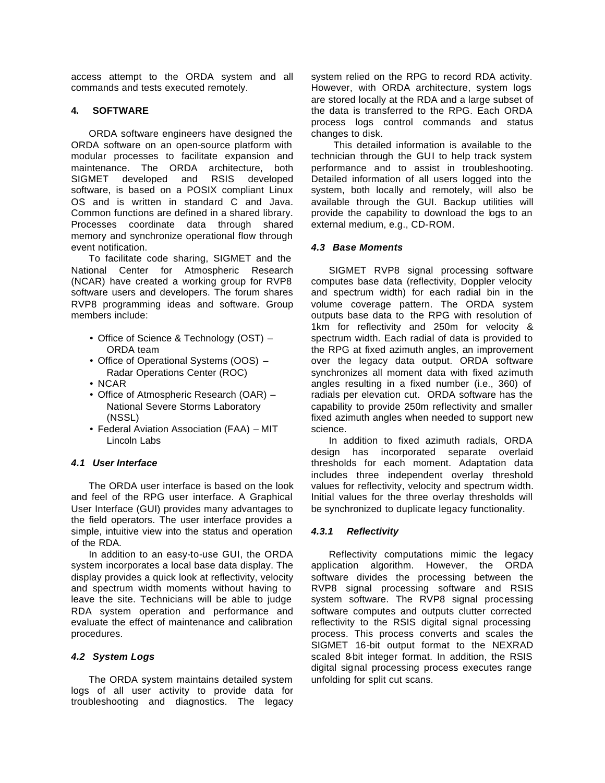access attempt to the ORDA system and all commands and tests executed remotely.

### **4. SOFTWARE**

ORDA software engineers have designed the ORDA software on an open-source platform with modular processes to facilitate expansion and maintenance. The ORDA architecture, both SIGMET developed and RSIS developed software, is based on a POSIX compliant Linux OS and is written in standard C and Java. Common functions are defined in a shared library. Processes coordinate data through shared memory and synchronize operational flow through event notification.

To facilitate code sharing, SIGMET and the National Center for Atmospheric Research (NCAR) have created a working group for RVP8 software users and developers. The forum shares RVP8 programming ideas and software. Group members include:

- Office of Science & Technology (OST) ORDA team
- Office of Operational Systems (OOS) Radar Operations Center (ROC)
- NCAR
- Office of Atmospheric Research (OAR) National Severe Storms Laboratory (NSSL)
- Federal Aviation Association (FAA) MIT Lincoln Labs

### *4.1 User Interface*

The ORDA user interface is based on the look and feel of the RPG user interface. A Graphical User Interface (GUI) provides many advantages to the field operators. The user interface provides a simple, intuitive view into the status and operation of the RDA.

In addition to an easy-to-use GUI, the ORDA system incorporates a local base data display. The display provides a quick look at reflectivity, velocity and spectrum width moments without having to leave the site. Technicians will be able to judge RDA system operation and performance and evaluate the effect of maintenance and calibration procedures.

### *4.2 System Logs*

The ORDA system maintains detailed system logs of all user activity to provide data for troubleshooting and diagnostics. The legacy system relied on the RPG to record RDA activity. However, with ORDA architecture, system logs are stored locally at the RDA and a large subset of the data is transferred to the RPG. Each ORDA process logs control commands and status changes to disk.

 This detailed information is available to the technician through the GUI to help track system performance and to assist in troubleshooting. Detailed information of all users logged into the system, both locally and remotely, will also be available through the GUI. Backup utilities will provide the capability to download the logs to an external medium, e.g., CD-ROM.

# *4.3 Base Moments*

SIGMET RVP8 signal processing software computes base data (reflectivity, Doppler velocity and spectrum width) for each radial bin in the volume coverage pattern. The ORDA system outputs base data to the RPG with resolution of 1km for reflectivity and 250m for velocity & spectrum width. Each radial of data is provided to the RPG at fixed azimuth angles, an improvement over the legacy data output. ORDA software synchronizes all moment data with fixed azimuth angles resulting in a fixed number (i.e., 360) of radials per elevation cut. ORDA software has the capability to provide 250m reflectivity and smaller fixed azimuth angles when needed to support new science.

In addition to fixed azimuth radials, ORDA design has incorporated separate overlaid thresholds for each moment. Adaptation data includes three independent overlay threshold values for reflectivity, velocity and spectrum width. Initial values for the three overlay thresholds will be synchronized to duplicate legacy functionality.

# *4.3.1 Reflectivity*

Reflectivity computations mimic the legacy application algorithm. However, the ORDA software divides the processing between the RVP8 signal processing software and RSIS system software. The RVP8 signal processing software computes and outputs clutter corrected reflectivity to the RSIS digital signal processing process. This process converts and scales the SIGMET 16-bit output format to the NEXRAD scaled 8-bit integer format. In addition, the RSIS digital signal processing process executes range unfolding for split cut scans.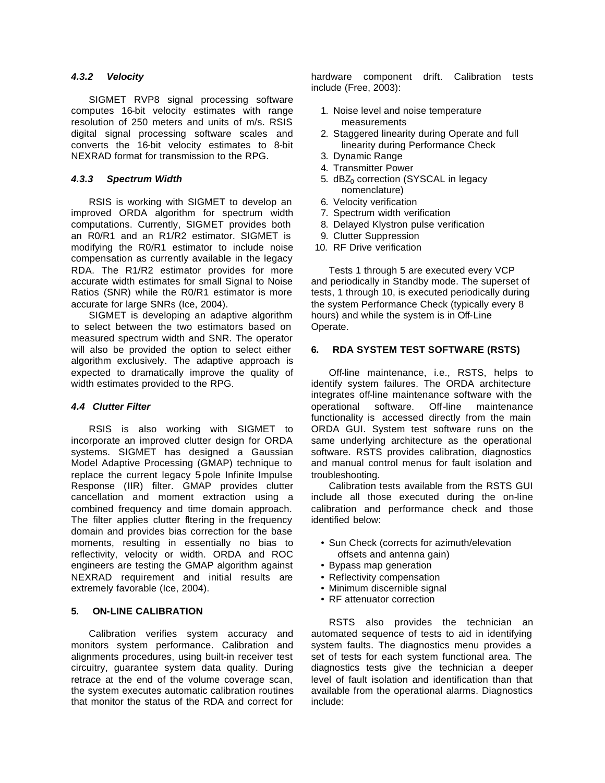### *4.3.2 Velocity*

SIGMET RVP8 signal processing software computes 16-bit velocity estimates with range resolution of 250 meters and units of m/s. RSIS digital signal processing software scales and converts the 16-bit velocity estimates to 8-bit NEXRAD format for transmission to the RPG.

### *4.3.3 Spectrum Width*

RSIS is working with SIGMET to develop an improved ORDA algorithm for spectrum width computations. Currently, SIGMET provides both an R0/R1 and an R1/R2 estimator. SIGMET is modifying the R0/R1 estimator to include noise compensation as currently available in the legacy RDA. The R1/R2 estimator provides for more accurate width estimates for small Signal to Noise Ratios (SNR) while the R0/R1 estimator is more accurate for large SNRs (Ice, 2004).

SIGMET is developing an adaptive algorithm to select between the two estimators based on measured spectrum width and SNR. The operator will also be provided the option to select either algorithm exclusively. The adaptive approach is expected to dramatically improve the quality of width estimates provided to the RPG.

### *4.4 Clutter Filter*

RSIS is also working with SIGMET to incorporate an improved clutter design for ORDA systems. SIGMET has designed a Gaussian Model Adaptive Processing (GMAP) technique to replace the current legacy 5-pole Infinite Impulse Response (IIR) filter. GMAP provides clutter cancellation and moment extraction using a combined frequency and time domain approach. The filter applies clutter filtering in the frequency domain and provides bias correction for the base moments, resulting in essentially no bias to reflectivity, velocity or width. ORDA and ROC engineers are testing the GMAP algorithm against NEXRAD requirement and initial results are extremely favorable (Ice, 2004).

### **5. ON-LINE CALIBRATION**

Calibration verifies system accuracy and monitors system performance. Calibration and alignments procedures, using built-in receiver test circuitry, guarantee system data quality. During retrace at the end of the volume coverage scan, the system executes automatic calibration routines that monitor the status of the RDA and correct for

hardware component drift. Calibration tests include (Free, 2003):

- 1. Noise level and noise temperature measurements
- 2. Staggered linearity during Operate and full linearity during Performance Check
- 3. Dynamic Range
- 4. Transmitter Power
- 5. dBZ<sub>0</sub> correction (SYSCAL in legacy nomenclature)
- 6. Velocity verification
- 7. Spectrum width verification
- 8. Delayed Klystron pulse verification
- 9. Clutter Suppression
- 10. RF Drive verification

Tests 1 through 5 are executed every VCP and periodically in Standby mode. The superset of tests, 1 through 10, is executed periodically during the system Performance Check (typically every 8 hours) and while the system is in Off-Line Operate.

#### **6. RDA SYSTEM TEST SOFTWARE (RSTS)**

Off-line maintenance, i.e., RSTS, helps to identify system failures. The ORDA architecture integrates off-line maintenance software with the operational software. Off-line maintenance functionality is accessed directly from the main ORDA GUI. System test software runs on the same underlying architecture as the operational software. RSTS provides calibration, diagnostics and manual control menus for fault isolation and troubleshooting.

Calibration tests available from the RSTS GUI include all those executed during the on-line calibration and performance check and those identified below:

- Sun Check (corrects for azimuth/elevation offsets and antenna gain)
- Bypass map generation
- Reflectivity compensation
- Minimum discernible signal
- RF attenuator correction

RSTS also provides the technician an automated sequence of tests to aid in identifying system faults. The diagnostics menu provides a set of tests for each system functional area. The diagnostics tests give the technician a deeper level of fault isolation and identification than that available from the operational alarms. Diagnostics include: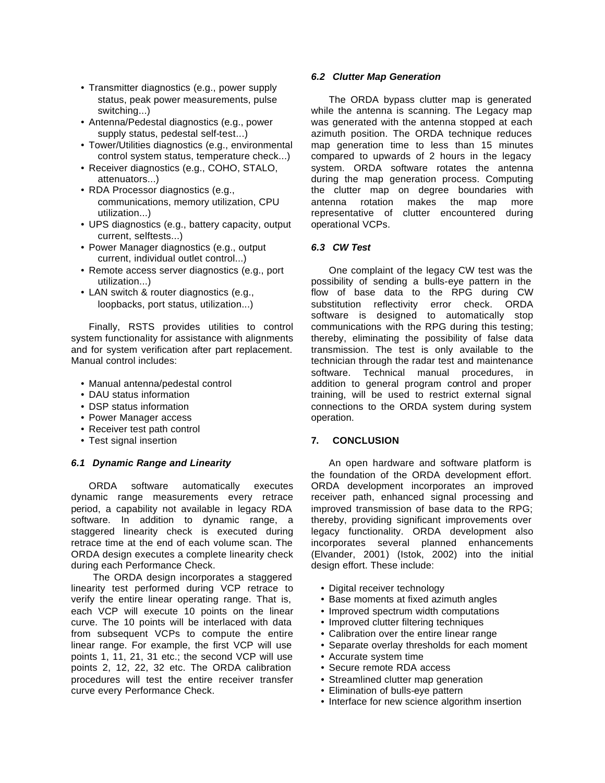- Transmitter diagnostics (e.g., power supply status, peak power measurements, pulse switching...)
- Antenna/Pedestal diagnostics (e.g., power supply status, pedestal self-test...)
- Tower/Utilities diagnostics (e.g., environmental control system status, temperature check...)
- Receiver diagnostics (e.g., COHO, STALO, attenuators...)
- RDA Processor diagnostics (e.g., communications, memory utilization, CPU utilization...)
- UPS diagnostics (e.g., battery capacity, output current, selftests...)
- Power Manager diagnostics (e.g., output current, individual outlet control...)
- Remote access server diagnostics (e.g., port utilization...)
- LAN switch & router diagnostics (e.g., loopbacks, port status, utilization...)

Finally, RSTS provides utilities to control system functionality for assistance with alignments and for system verification after part replacement. Manual control includes:

- Manual antenna/pedestal control
- DAU status information
- DSP status information
- Power Manager access
- Receiver test path control
- Test signal insertion

### *6.1 Dynamic Range and Linearity*

ORDA software automatically executes dynamic range measurements every retrace period, a capability not available in legacy RDA software. In addition to dynamic range, a staggered linearity check is executed during retrace time at the end of each volume scan. The ORDA design executes a complete linearity check during each Performance Check.

 The ORDA design incorporates a staggered linearity test performed during VCP retrace to verify the entire linear operating range. That is, each VCP will execute 10 points on the linear curve. The 10 points will be interlaced with data from subsequent VCPs to compute the entire linear range. For example, the first VCP will use points 1, 11, 21, 31 etc.; the second VCP will use points 2, 12, 22, 32 etc. The ORDA calibration procedures will test the entire receiver transfer curve every Performance Check.

#### *6.2 Clutter Map Generation*

The ORDA bypass clutter map is generated while the antenna is scanning. The Legacy map was generated with the antenna stopped at each azimuth position. The ORDA technique reduces map generation time to less than 15 minutes compared to upwards of 2 hours in the legacy system. ORDA software rotates the antenna during the map generation process. Computing the clutter map on degree boundaries with antenna rotation makes the map more representative of clutter encountered during operational VCPs.

#### *6.3 CW Test*

One complaint of the legacy CW test was the possibility of sending a bulls-eye pattern in the flow of base data to the RPG during CW substitution reflectivity error check. ORDA software is designed to automatically stop communications with the RPG during this testing; thereby, eliminating the possibility of false data transmission. The test is only available to the technician through the radar test and maintenance software. Technical manual procedures, in addition to general program control and proper training, will be used to restrict external signal connections to the ORDA system during system operation.

### **7. CONCLUSION**

An open hardware and software platform is the foundation of the ORDA development effort. ORDA development incorporates an improved receiver path, enhanced signal processing and improved transmission of base data to the RPG; thereby, providing significant improvements over legacy functionality. ORDA development also incorporates several planned enhancements (Elvander, 2001) (Istok, 2002) into the initial design effort. These include:

- Digital receiver technology
- Base moments at fixed azimuth angles
- Improved spectrum width computations
- Improved clutter filtering techniques
- Calibration over the entire linear range
- Separate overlay thresholds for each moment
- Accurate system time
- Secure remote RDA access
- Streamlined clutter map generation
- Elimination of bulls-eye pattern
- Interface for new science algorithm insertion